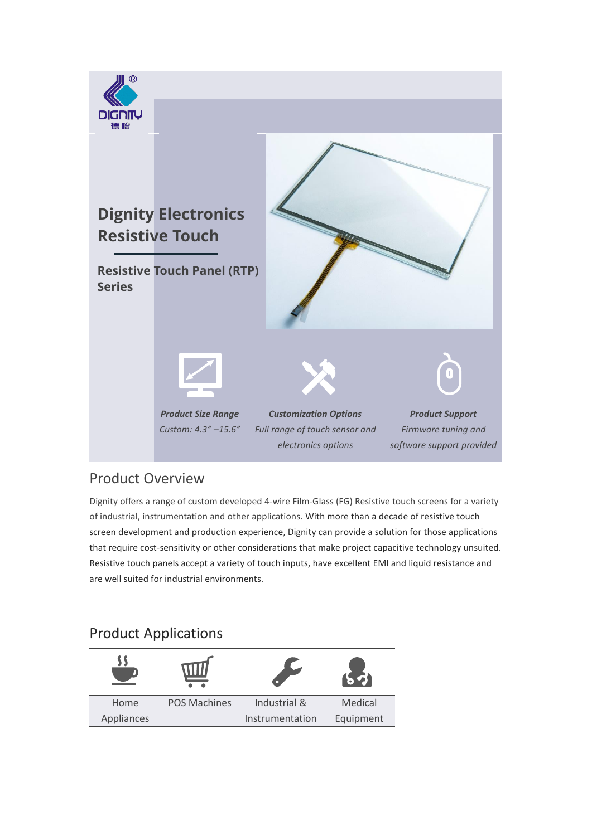

### Product Overview

Dignity offers a range of custom developed 4-wire Film-Glass (FG) Resistive touch screens for a variety of industrial, instrumentation and other applications. With more than a decade of resistive touch screen development and production experience, Dignity can provide a solution for those applications that require cost-sensitivity or other considerations that make project capacitive technology unsuited. Resistive touch panels accept a variety of touch inputs, have excellent EMI and liquid resistance and are well suited for industrial environments.

## Product Applications

| Home       | <b>POS Machines</b> | Industrial &    | Medical   |
|------------|---------------------|-----------------|-----------|
| Appliances |                     | Instrumentation | Equipment |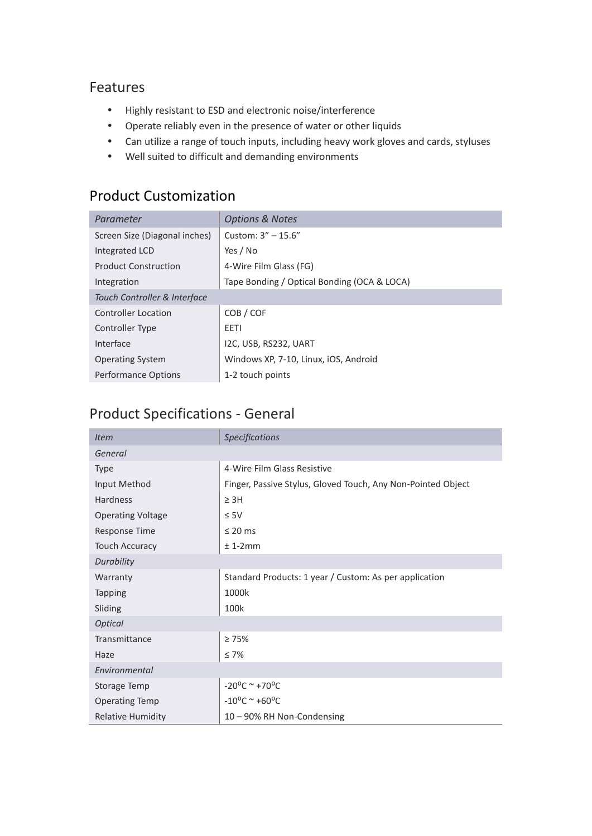#### Features

- Highly resistant to ESD and electronic noise/interference
- Operate reliably even in the presence of water or other liquids
- Can utilize a range of touch inputs, including heavy work gloves and cards, styluses
- Well suited to difficult and demanding environments

## Product Customization

| Parameter                     | <b>Options &amp; Notes</b>                  |  |  |
|-------------------------------|---------------------------------------------|--|--|
| Screen Size (Diagonal inches) | Custom: $3'' - 15.6''$                      |  |  |
| Integrated LCD                | Yes / No                                    |  |  |
| <b>Product Construction</b>   | 4-Wire Film Glass (FG)                      |  |  |
| Integration                   | Tape Bonding / Optical Bonding (OCA & LOCA) |  |  |
| Touch Controller & Interface  |                                             |  |  |
| <b>Controller Location</b>    | COB / COF                                   |  |  |
| Controller Type               | EETI                                        |  |  |
| Interface                     | I2C, USB, RS232, UART                       |  |  |
| <b>Operating System</b>       | Windows XP, 7-10, Linux, iOS, Android       |  |  |
| Performance Options           | 1-2 touch points                            |  |  |

# Product Specifications - General

| <b>Item</b>              | <b>Specifications</b>                                        |
|--------------------------|--------------------------------------------------------------|
| General                  |                                                              |
| <b>Type</b>              | 4-Wire Film Glass Resistive                                  |
| Input Method             | Finger, Passive Stylus, Gloved Touch, Any Non-Pointed Object |
| Hardness                 | $\geq$ 3H                                                    |
| <b>Operating Voltage</b> | $\leq 5V$                                                    |
| <b>Response Time</b>     | $\leq$ 20 ms                                                 |
| <b>Touch Accuracy</b>    | $± 1-2mm$                                                    |
| Durability               |                                                              |
| Warranty                 | Standard Products: 1 year / Custom: As per application       |
| <b>Tapping</b>           | 1000k                                                        |
| Sliding                  | 100k                                                         |
| <b>Optical</b>           |                                                              |
| Transmittance            | $\geq 75\%$                                                  |
| Haze                     | $\leq 7\%$                                                   |
| Environmental            |                                                              |
| Storage Temp             | $-20^{\circ}$ C ~ +70°C                                      |
| <b>Operating Temp</b>    | $-10^{\circ}$ C ~ +60°C                                      |
| <b>Relative Humidity</b> | 10 - 90% RH Non-Condensing                                   |